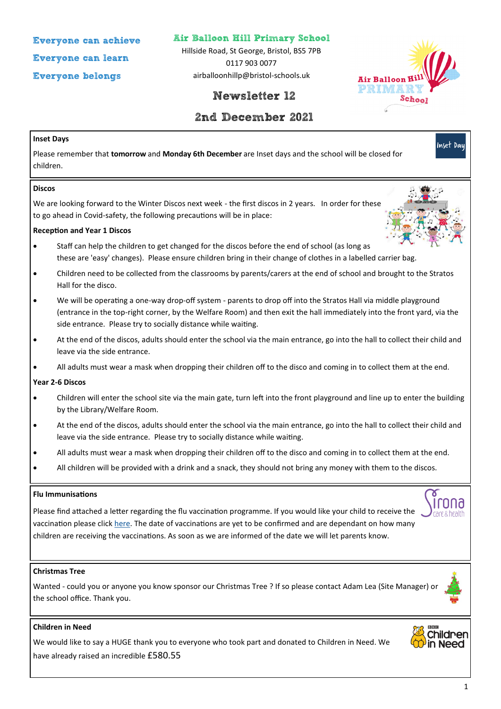**Everyone can achieve**

**Everyone can learn**

**Everyone belongs**

**Air Balloon Hill Primary School**

Hillside Road, St George, Bristol, BS5 7PB 0117 903 0077 airballoonhillp@bristol-schools.uk





Inset Day

# **2nd December 2021**

## **Inset Days**

Please remember that **tomorrow** and **Monday 6th December** are Inset days and the school will be closed for children.

#### **Discos**

We are looking forward to the Winter Discos next week - the first discos in 2 years. In order for these to go ahead in Covid-safety, the following precautions will be in place:

## **Reception and Year 1 Discos**

- Staff can help the children to get changed for the discos before the end of school (as long as these are 'easy' changes). Please ensure children bring in their change of clothes in a labelled carrier bag.
- Children need to be collected from the classrooms by parents/carers at the end of school and brought to the Stratos Hall for the disco.
- We will be operating a one-way drop-off system parents to drop off into the Stratos Hall via middle playground (entrance in the top-right corner, by the Welfare Room) and then exit the hall immediately into the front yard, via the side entrance. Please try to socially distance while waiting.
- At the end of the discos, adults should enter the school via the main entrance, go into the hall to collect their child and leave via the side entrance.
- All adults must wear a mask when dropping their children off to the disco and coming in to collect them at the end.

#### **Year 2-6 Discos**

- Children will enter the school site via the main gate, turn left into the front playground and line up to enter the building by the Library/Welfare Room.
- At the end of the discos, adults should enter the school via the main entrance, go into the hall to collect their child and leave via the side entrance. Please try to socially distance while waiting.
- All adults must wear a mask when dropping their children off to the disco and coming in to collect them at the end.
- All children will be provided with a drink and a snack, they should not bring any money with them to the discos.

#### **Flu Immunisations**

Please find attached a letter regarding the flu vaccination programme. If you would like your child to receive the vaccination please click [here.](https://imms.sirona-cic.org.uk/flu/2021/consent) The date of vaccinations are yet to be confirmed and are dependant on how many children are receiving the vaccinations. As soon as we are informed of the date we will let parents know.

#### **Christmas Tree**

Wanted - could you or anyone you know sponsor our Christmas Tree ? If so please contact Adam Lea (Site Manager) or the school office. Thank you.

## **Children in Need**

We would like to say a HUGE thank you to everyone who took part and donated to Children in Need. We have already raised an incredible £580.55



<u>Irnna</u>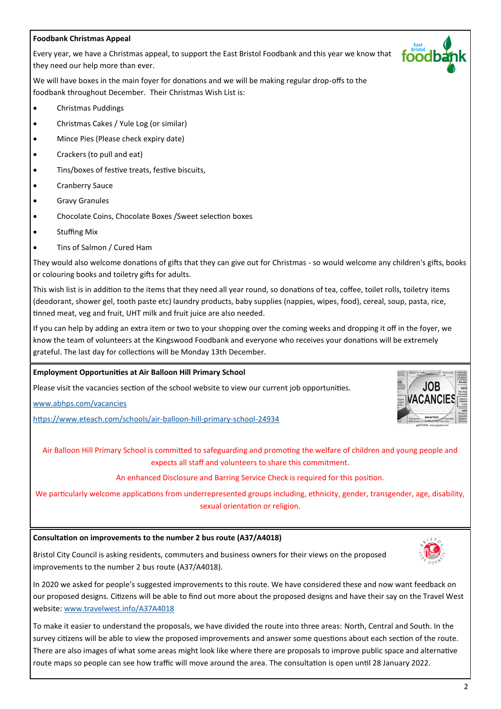## **Foodbank Christmas Appeal**

Every year, we have a Christmas appeal, to support the East Bristol Foodbank and this year we know that they need our help more than ever.

We will have boxes in the main foyer for donations and we will be making regular drop-offs to the foodbank throughout December. Their Christmas Wish List is:

- Christmas Puddings
- Christmas Cakes / Yule Log (or similar)
- Mince Pies (Please check expiry date)
- Crackers (to pull and eat)
- Tins/boxes of festive treats, festive biscuits,
- Cranberry Sauce
- Gravy Granules
- Chocolate Coins, Chocolate Boxes /Sweet selection boxes
- Stuffing Mix
- Tins of Salmon / Cured Ham

They would also welcome donations of gifts that they can give out for Christmas - so would welcome any children's gifts, books or colouring books and toiletry gifts for adults.

This wish list is in addition to the items that they need all year round, so donations of tea, coffee, toilet rolls, toiletry items (deodorant, shower gel, tooth paste etc) laundry products, baby supplies (nappies, wipes, food), cereal, soup, pasta, rice, tinned meat, veg and fruit, UHT milk and fruit juice are also needed.

If you can help by adding an extra item or two to your shopping over the coming weeks and dropping it off in the foyer, we know the team of volunteers at the Kingswood Foodbank and everyone who receives your donations will be extremely grateful. The last day for collections will be Monday 13th December.

#### **Employment Opportunities at Air Balloon Hill Primary School**

Please visit the vacancies section of the school website to view our current job opportunities.

[www.abhps.com/vacancies](http://www.abhps.com/vacancies)

[https://www.eteach.com/schools/air](https://www.eteach.com/schools/air-balloon-hill-primary-school-24934)-balloon-hill-primary-school-24934



toodk

Air Balloon Hill Primary School is committed to safeguarding and promoting the welfare of children and young people and expects all staff and volunteers to share this commitment.

An enhanced Disclosure and Barring Service Check is required for this position.

We particularly welcome applications from underrepresented groups including, ethnicity, gender, transgender, age, disability, sexual orientation or religion.

#### **Consultation on improvements to the number 2 bus route (A37/A4018)**

Bristol City Council is asking residents, commuters and business owners for their views on the proposed improvements to the number 2 bus route (A37/A4018).



To make it easier to understand the proposals, we have divided the route into three areas: North, Central and South. In the survey citizens will be able to view the proposed improvements and answer some questions about each section of the route. There are also images of what some areas might look like where there are proposals to improve public space and alternative route maps so people can see how traffic will move around the area. The consultation is open until 28 January 2022.